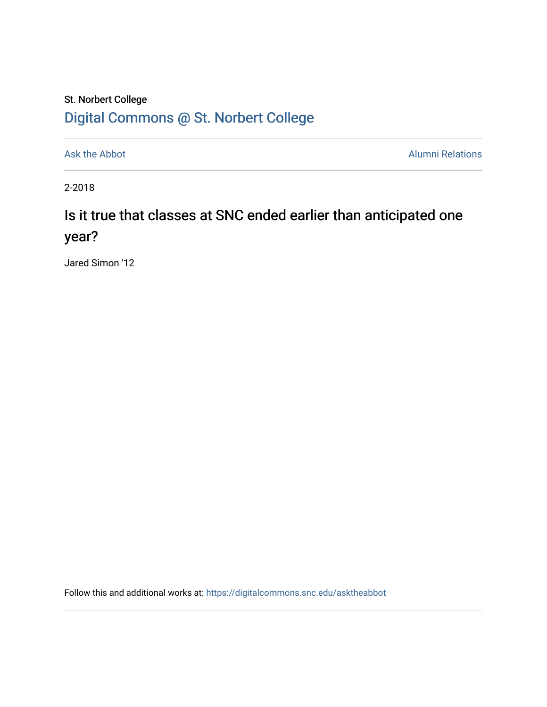## St. Norbert College [Digital Commons @ St. Norbert College](https://digitalcommons.snc.edu/)

[Ask the Abbot](https://digitalcommons.snc.edu/asktheabbot) **Alumni Relations** Alumni Relations

2-2018

# Is it true that classes at SNC ended earlier than anticipated one year?

Jared Simon '12

Follow this and additional works at: [https://digitalcommons.snc.edu/asktheabbot](https://digitalcommons.snc.edu/asktheabbot?utm_source=digitalcommons.snc.edu%2Fasktheabbot%2F118&utm_medium=PDF&utm_campaign=PDFCoverPages)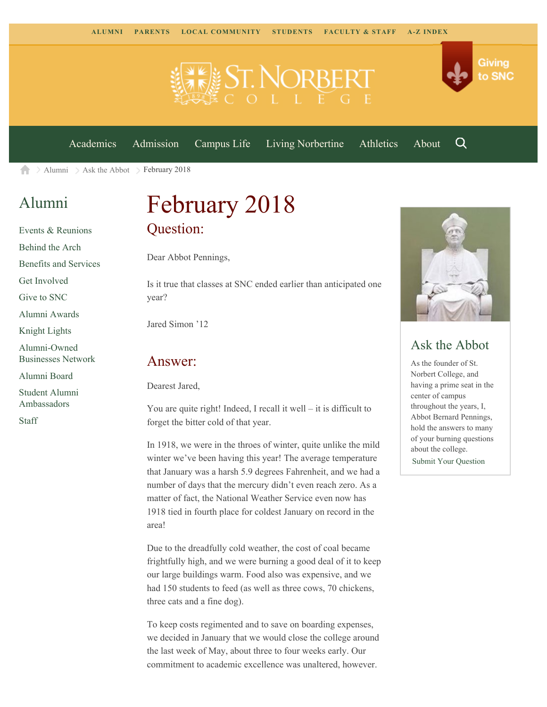

[Academics](https://www.snc.edu/academics) [Admission](https://www.snc.edu/admission) [Campus Life](https://www.snc.edu/campuslife) [Living Norbertine](https://www.snc.edu/livingnorbertine) [Athletics](https://www.snc.edu/athletics) [About](https://www.snc.edu/about)

Q

Giving

to SNC

[Alumni](https://www.snc.edu/alumni/)  $\geq$  [Ask the Abbot](https://www.snc.edu/alumni/abbot/)  $\geq$  February 2018 合

## [Alumni](https://www.snc.edu/alumni/index.html)

[Events & Reunions](https://www.snc.edu/alumni/event/index.html) [Behind the Arch](https://www.snc.edu/alumni/event/behindthearch/) [Benefits and Services](https://www.snc.edu/alumni/benefits.html) [Get Involved](https://www.snc.edu/alumni/getinvolved.html) [Give to SNC](http://giving.snc.edu/) [Alumni Awards](https://www.snc.edu/alumni/awards/index.html) [Knight Lights](https://www.snc.edu/alumni/knightlights/index.html) [Alumni-Owned](https://www.snc.edu/alumni/directory/index.html) [Businesses Network](https://www.snc.edu/alumni/directory/index.html) [Alumni Board](https://www.snc.edu/alumni/alumniboard.html) [Student Alumni](https://www.snc.edu/alumni/saa.html)

[Ambassadors](https://www.snc.edu/alumni/saa.html)

[Staff](https://www.snc.edu/alumni/contactus.html)

# February 2018 Question:

Dear Abbot Pennings,

Is it true that classes at SNC ended earlier than anticipated one year?

Jared Simon '12

#### Answer:

Dearest Jared,

You are quite right! Indeed, I recall it well – it is difficult to forget the bitter cold of that year.

In 1918, we were in the throes of winter, quite unlike the mild winter we've been having this year! The average temperature that January was a harsh 5.9 degrees Fahrenheit, and we had a number of days that the mercury didn't even reach zero. As a matter of fact, the National Weather Service even now has 1918 tied in fourth place for coldest January on record in the area!

Due to the dreadfully cold weather, the cost of coal became frightfully high, and we were burning a good deal of it to keep our large buildings warm. Food also was expensive, and we had 150 students to feed (as well as three cows, 70 chickens, three cats and a fine dog).

To keep costs regimented and to save on boarding expenses, we decided in January that we would close the college around the last week of May, about three to four weeks early. Our commitment to academic excellence was unaltered, however.



### Ask the Abbot

As the founder of St. Norbert College, and having a prime seat in the center of campus throughout the years, I, Abbot Bernard Pennings, hold the answers to many of your burning questions about the college.

[Submit Your Question](https://www.snc.edu/alumni/abbot/index.html)